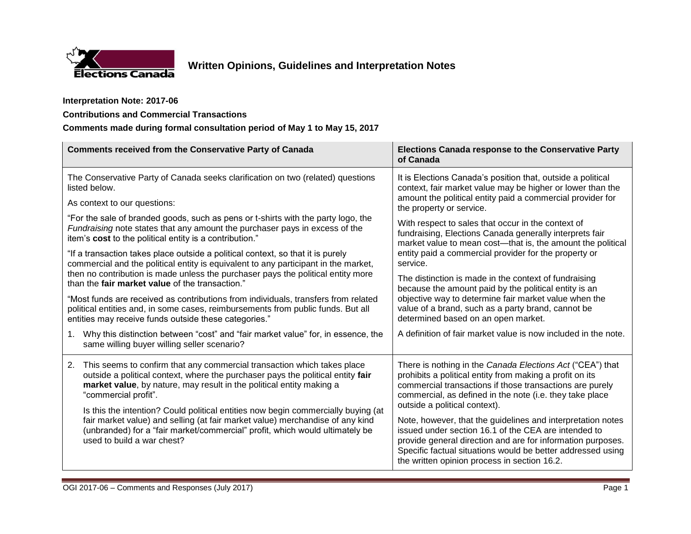

## **Interpretation Note: 2017-06**

## **Contributions and Commercial Transactions**

## **Comments made during formal consultation period of May 1 to May 15, 2017**

| <b>Comments received from the Conservative Party of Canada</b>                                                                                                                                                                                                                                                                                                                                                                                                                                                                                       | <b>Elections Canada response to the Conservative Party</b><br>of Canada                                                                                                                                                                                                                           |
|------------------------------------------------------------------------------------------------------------------------------------------------------------------------------------------------------------------------------------------------------------------------------------------------------------------------------------------------------------------------------------------------------------------------------------------------------------------------------------------------------------------------------------------------------|---------------------------------------------------------------------------------------------------------------------------------------------------------------------------------------------------------------------------------------------------------------------------------------------------|
| The Conservative Party of Canada seeks clarification on two (related) questions<br>listed below.                                                                                                                                                                                                                                                                                                                                                                                                                                                     | It is Elections Canada's position that, outside a political<br>context, fair market value may be higher or lower than the                                                                                                                                                                         |
| As context to our questions:                                                                                                                                                                                                                                                                                                                                                                                                                                                                                                                         | amount the political entity paid a commercial provider for<br>the property or service.                                                                                                                                                                                                            |
| "For the sale of branded goods, such as pens or t-shirts with the party logo, the<br>Fundraising note states that any amount the purchaser pays in excess of the<br>item's cost to the political entity is a contribution."<br>"If a transaction takes place outside a political context, so that it is purely<br>commercial and the political entity is equivalent to any participant in the market,                                                                                                                                                | With respect to sales that occur in the context of<br>fundraising, Elections Canada generally interprets fair<br>market value to mean cost-that is, the amount the political<br>entity paid a commercial provider for the property or<br>service.                                                 |
|                                                                                                                                                                                                                                                                                                                                                                                                                                                                                                                                                      |                                                                                                                                                                                                                                                                                                   |
| "Most funds are received as contributions from individuals, transfers from related<br>political entities and, in some cases, reimbursements from public funds. But all<br>entities may receive funds outside these categories."                                                                                                                                                                                                                                                                                                                      | objective way to determine fair market value when the<br>value of a brand, such as a party brand, cannot be<br>determined based on an open market.                                                                                                                                                |
| Why this distinction between "cost" and "fair market value" for, in essence, the<br>$1_{\cdot}$<br>same willing buyer willing seller scenario?                                                                                                                                                                                                                                                                                                                                                                                                       | A definition of fair market value is now included in the note.                                                                                                                                                                                                                                    |
| This seems to confirm that any commercial transaction which takes place<br>2.<br>outside a political context, where the purchaser pays the political entity fair<br>market value, by nature, may result in the political entity making a<br>"commercial profit".<br>Is this the intention? Could political entities now begin commercially buying (at<br>fair market value) and selling (at fair market value) merchandise of any kind<br>(unbranded) for a "fair market/commercial" profit, which would ultimately be<br>used to build a war chest? | There is nothing in the Canada Elections Act ("CEA") that<br>prohibits a political entity from making a profit on its<br>commercial transactions if those transactions are purely<br>commercial, as defined in the note (i.e. they take place<br>outside a political context).                    |
|                                                                                                                                                                                                                                                                                                                                                                                                                                                                                                                                                      | Note, however, that the guidelines and interpretation notes<br>issued under section 16.1 of the CEA are intended to<br>provide general direction and are for information purposes.<br>Specific factual situations would be better addressed using<br>the written opinion process in section 16.2. |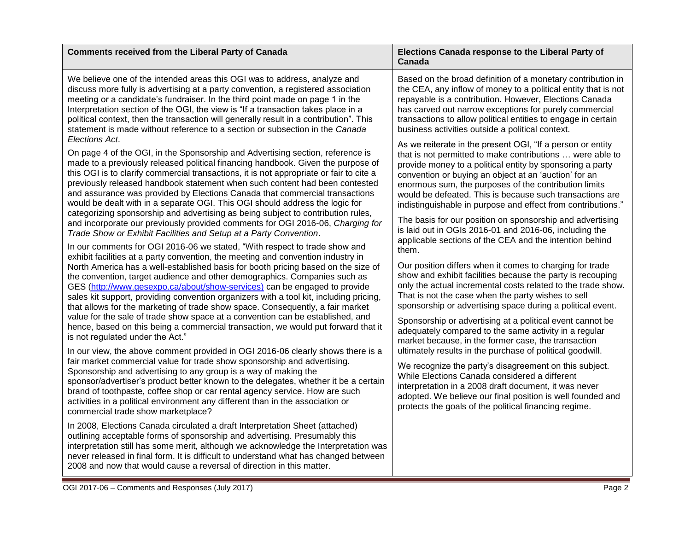| <b>Comments received from the Liberal Party of Canada</b>                                                                                                                                                                                                                                                                                                                                                                                                                                                                                                                                                                                                                                                                                                                                                                                                                                                                                                                                                                                                                                                                                                                                                                                                                                                                                                                                                                                               | Elections Canada response to the Liberal Party of<br>Canada                                                                                                                                                                                                                                                                                                                                                                                                                                                                                                                                                                                                                                                                                                                                                                                                                                                                                                                                                                                                       |
|---------------------------------------------------------------------------------------------------------------------------------------------------------------------------------------------------------------------------------------------------------------------------------------------------------------------------------------------------------------------------------------------------------------------------------------------------------------------------------------------------------------------------------------------------------------------------------------------------------------------------------------------------------------------------------------------------------------------------------------------------------------------------------------------------------------------------------------------------------------------------------------------------------------------------------------------------------------------------------------------------------------------------------------------------------------------------------------------------------------------------------------------------------------------------------------------------------------------------------------------------------------------------------------------------------------------------------------------------------------------------------------------------------------------------------------------------------|-------------------------------------------------------------------------------------------------------------------------------------------------------------------------------------------------------------------------------------------------------------------------------------------------------------------------------------------------------------------------------------------------------------------------------------------------------------------------------------------------------------------------------------------------------------------------------------------------------------------------------------------------------------------------------------------------------------------------------------------------------------------------------------------------------------------------------------------------------------------------------------------------------------------------------------------------------------------------------------------------------------------------------------------------------------------|
| We believe one of the intended areas this OGI was to address, analyze and<br>discuss more fully is advertising at a party convention, a registered association<br>meeting or a candidate's fundraiser. In the third point made on page 1 in the<br>Interpretation section of the OGI, the view is "If a transaction takes place in a<br>political context, then the transaction will generally result in a contribution". This<br>statement is made without reference to a section or subsection in the Canada                                                                                                                                                                                                                                                                                                                                                                                                                                                                                                                                                                                                                                                                                                                                                                                                                                                                                                                                          | Based on the broad definition of a monetary contribution in<br>the CEA, any inflow of money to a political entity that is not<br>repayable is a contribution. However, Elections Canada<br>has carved out narrow exceptions for purely commercial<br>transactions to allow political entities to engage in certain<br>business activities outside a political context.                                                                                                                                                                                                                                                                                                                                                                                                                                                                                                                                                                                                                                                                                            |
| Elections Act.<br>On page 4 of the OGI, in the Sponsorship and Advertising section, reference is<br>made to a previously released political financing handbook. Given the purpose of<br>this OGI is to clarify commercial transactions, it is not appropriate or fair to cite a<br>previously released handbook statement when such content had been contested<br>and assurance was provided by Elections Canada that commercial transactions<br>would be dealt with in a separate OGI. This OGI should address the logic for<br>categorizing sponsorship and advertising as being subject to contribution rules,<br>and incorporate our previously provided comments for OGI 2016-06, Charging for<br>Trade Show or Exhibit Facilities and Setup at a Party Convention.<br>In our comments for OGI 2016-06 we stated, "With respect to trade show and<br>exhibit facilities at a party convention, the meeting and convention industry in<br>North America has a well-established basis for booth pricing based on the size of<br>the convention, target audience and other demographics. Companies such as<br>GES (http://www.gesexpo.ca/about/show-services) can be engaged to provide<br>sales kit support, providing convention organizers with a tool kit, including pricing,<br>that allows for the marketing of trade show space. Consequently, a fair market<br>value for the sale of trade show space at a convention can be established, and | As we reiterate in the present OGI, "If a person or entity<br>that is not permitted to make contributions  were able to<br>provide money to a political entity by sponsoring a party<br>convention or buying an object at an 'auction' for an<br>enormous sum, the purposes of the contribution limits<br>would be defeated. This is because such transactions are<br>indistinguishable in purpose and effect from contributions."<br>The basis for our position on sponsorship and advertising<br>is laid out in OGIs 2016-01 and 2016-06, including the<br>applicable sections of the CEA and the intention behind<br>them.<br>Our position differs when it comes to charging for trade<br>show and exhibit facilities because the party is recouping<br>only the actual incremental costs related to the trade show.<br>That is not the case when the party wishes to sell<br>sponsorship or advertising space during a political event.<br>Sponsorship or advertising at a political event cannot be<br>adequately compared to the same activity in a regular |
| is not regulated under the Act."<br>In our view, the above comment provided in OGI 2016-06 clearly shows there is a<br>fair market commercial value for trade show sponsorship and advertising.<br>Sponsorship and advertising to any group is a way of making the<br>sponsor/advertiser's product better known to the delegates, whether it be a certain<br>brand of toothpaste, coffee shop or car rental agency service. How are such<br>activities in a political environment any different than in the association or<br>commercial trade show marketplace?                                                                                                                                                                                                                                                                                                                                                                                                                                                                                                                                                                                                                                                                                                                                                                                                                                                                                        | market because, in the former case, the transaction<br>ultimately results in the purchase of political goodwill.<br>We recognize the party's disagreement on this subject.<br>While Elections Canada considered a different<br>interpretation in a 2008 draft document, it was never<br>adopted. We believe our final position is well founded and<br>protects the goals of the political financing regime.                                                                                                                                                                                                                                                                                                                                                                                                                                                                                                                                                                                                                                                       |
| In 2008, Elections Canada circulated a draft Interpretation Sheet (attached)<br>outlining acceptable forms of sponsorship and advertising. Presumably this<br>interpretation still has some merit, although we acknowledge the Interpretation was<br>never released in final form. It is difficult to understand what has changed between<br>2008 and now that would cause a reversal of direction in this matter.                                                                                                                                                                                                                                                                                                                                                                                                                                                                                                                                                                                                                                                                                                                                                                                                                                                                                                                                                                                                                                      |                                                                                                                                                                                                                                                                                                                                                                                                                                                                                                                                                                                                                                                                                                                                                                                                                                                                                                                                                                                                                                                                   |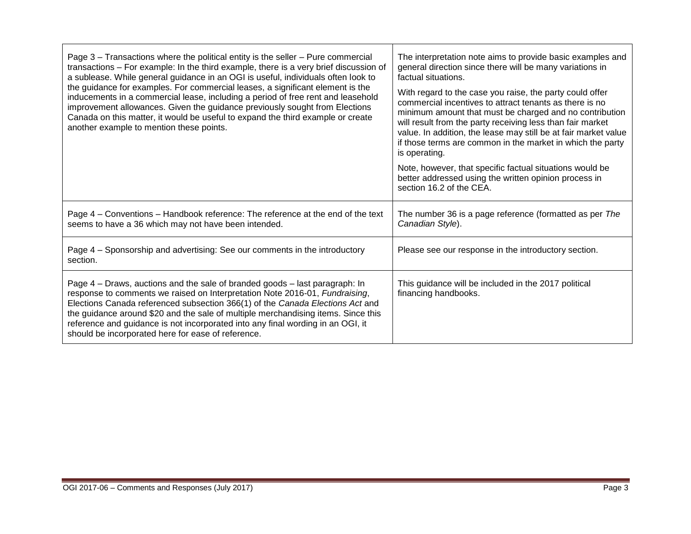| Page 3 - Transactions where the political entity is the seller - Pure commercial<br>transactions - For example: In the third example, there is a very brief discussion of<br>a sublease. While general guidance in an OGI is useful, individuals often look to<br>the guidance for examples. For commercial leases, a significant element is the<br>inducements in a commercial lease, including a period of free rent and leasehold<br>improvement allowances. Given the guidance previously sought from Elections<br>Canada on this matter, it would be useful to expand the third example or create<br>another example to mention these points. | The interpretation note aims to provide basic examples and<br>general direction since there will be many variations in<br>factual situations.<br>With regard to the case you raise, the party could offer<br>commercial incentives to attract tenants as there is no<br>minimum amount that must be charged and no contribution<br>will result from the party receiving less than fair market<br>value. In addition, the lease may still be at fair market value<br>if those terms are common in the market in which the party<br>is operating.<br>Note, however, that specific factual situations would be<br>better addressed using the written opinion process in<br>section 16.2 of the CEA. |
|----------------------------------------------------------------------------------------------------------------------------------------------------------------------------------------------------------------------------------------------------------------------------------------------------------------------------------------------------------------------------------------------------------------------------------------------------------------------------------------------------------------------------------------------------------------------------------------------------------------------------------------------------|--------------------------------------------------------------------------------------------------------------------------------------------------------------------------------------------------------------------------------------------------------------------------------------------------------------------------------------------------------------------------------------------------------------------------------------------------------------------------------------------------------------------------------------------------------------------------------------------------------------------------------------------------------------------------------------------------|
| Page 4 – Conventions – Handbook reference: The reference at the end of the text<br>seems to have a 36 which may not have been intended.                                                                                                                                                                                                                                                                                                                                                                                                                                                                                                            | The number 36 is a page reference (formatted as per The<br>Canadian Style).                                                                                                                                                                                                                                                                                                                                                                                                                                                                                                                                                                                                                      |
| Page 4 - Sponsorship and advertising: See our comments in the introductory<br>section.                                                                                                                                                                                                                                                                                                                                                                                                                                                                                                                                                             | Please see our response in the introductory section.                                                                                                                                                                                                                                                                                                                                                                                                                                                                                                                                                                                                                                             |
| Page 4 – Draws, auctions and the sale of branded goods – last paragraph: In<br>response to comments we raised on Interpretation Note 2016-01, Fundraising,<br>Elections Canada referenced subsection 366(1) of the Canada Elections Act and<br>the guidance around \$20 and the sale of multiple merchandising items. Since this<br>reference and guidance is not incorporated into any final wording in an OGI, it<br>should be incorporated here for ease of reference.                                                                                                                                                                          | This guidance will be included in the 2017 political<br>financing handbooks.                                                                                                                                                                                                                                                                                                                                                                                                                                                                                                                                                                                                                     |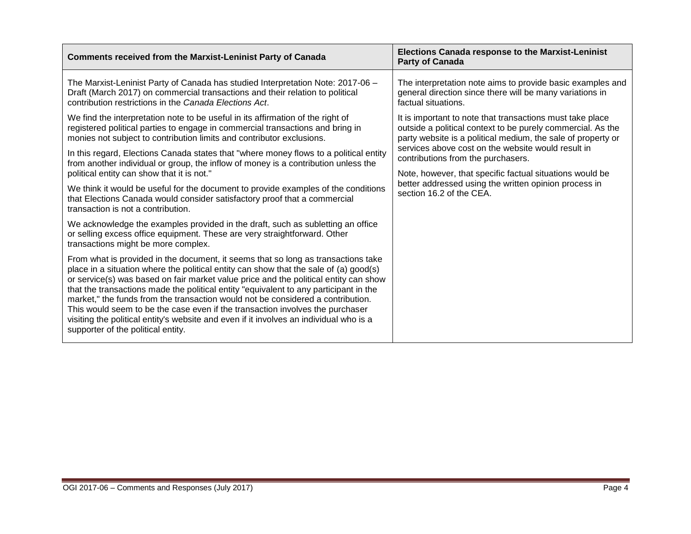| <b>Comments received from the Marxist-Leninist Party of Canada</b>                                                                                                                                                                                                                                                                                                                                                                                                                                                                                                                                                                                              | <b>Elections Canada response to the Marxist-Leninist</b><br><b>Party of Canada</b>                                                                                                                                                                                                                                                                                                                                                    |
|-----------------------------------------------------------------------------------------------------------------------------------------------------------------------------------------------------------------------------------------------------------------------------------------------------------------------------------------------------------------------------------------------------------------------------------------------------------------------------------------------------------------------------------------------------------------------------------------------------------------------------------------------------------------|---------------------------------------------------------------------------------------------------------------------------------------------------------------------------------------------------------------------------------------------------------------------------------------------------------------------------------------------------------------------------------------------------------------------------------------|
| The Marxist-Leninist Party of Canada has studied Interpretation Note: 2017-06 -<br>Draft (March 2017) on commercial transactions and their relation to political<br>contribution restrictions in the Canada Elections Act.                                                                                                                                                                                                                                                                                                                                                                                                                                      | The interpretation note aims to provide basic examples and<br>general direction since there will be many variations in<br>factual situations.                                                                                                                                                                                                                                                                                         |
| We find the interpretation note to be useful in its affirmation of the right of<br>registered political parties to engage in commercial transactions and bring in<br>monies not subject to contribution limits and contributor exclusions.<br>In this regard, Elections Canada states that "where money flows to a political entity<br>from another individual or group, the inflow of money is a contribution unless the<br>political entity can show that it is not."                                                                                                                                                                                         | It is important to note that transactions must take place<br>outside a political context to be purely commercial. As the<br>party website is a political medium, the sale of property or<br>services above cost on the website would result in<br>contributions from the purchasers.<br>Note, however, that specific factual situations would be<br>better addressed using the written opinion process in<br>section 16.2 of the CEA. |
| We think it would be useful for the document to provide examples of the conditions<br>that Elections Canada would consider satisfactory proof that a commercial<br>transaction is not a contribution.                                                                                                                                                                                                                                                                                                                                                                                                                                                           |                                                                                                                                                                                                                                                                                                                                                                                                                                       |
| We acknowledge the examples provided in the draft, such as subletting an office<br>or selling excess office equipment. These are very straightforward. Other<br>transactions might be more complex.                                                                                                                                                                                                                                                                                                                                                                                                                                                             |                                                                                                                                                                                                                                                                                                                                                                                                                                       |
| From what is provided in the document, it seems that so long as transactions take<br>place in a situation where the political entity can show that the sale of (a) good(s)<br>or service(s) was based on fair market value price and the political entity can show<br>that the transactions made the political entity "equivalent to any participant in the<br>market," the funds from the transaction would not be considered a contribution.<br>This would seem to be the case even if the transaction involves the purchaser<br>visiting the political entity's website and even if it involves an individual who is a<br>supporter of the political entity. |                                                                                                                                                                                                                                                                                                                                                                                                                                       |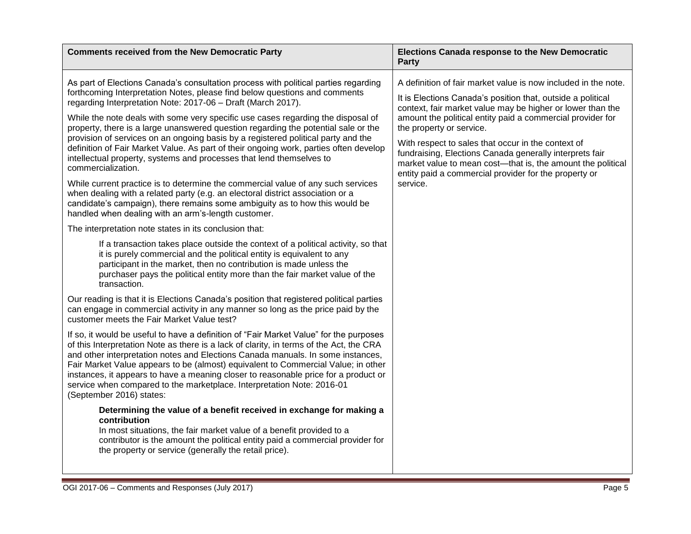| <b>Comments received from the New Democratic Party</b>                                                                                                                                                                                                                                                                                                                                                                                                                                                                                                                                                                                                                                  | <b>Elections Canada response to the New Democratic</b><br><b>Party</b>                                                                                                                                                                |
|-----------------------------------------------------------------------------------------------------------------------------------------------------------------------------------------------------------------------------------------------------------------------------------------------------------------------------------------------------------------------------------------------------------------------------------------------------------------------------------------------------------------------------------------------------------------------------------------------------------------------------------------------------------------------------------------|---------------------------------------------------------------------------------------------------------------------------------------------------------------------------------------------------------------------------------------|
| As part of Elections Canada's consultation process with political parties regarding<br>forthcoming Interpretation Notes, please find below questions and comments<br>regarding Interpretation Note: 2017-06 - Draft (March 2017).<br>While the note deals with some very specific use cases regarding the disposal of<br>property, there is a large unanswered question regarding the potential sale or the<br>provision of services on an ongoing basis by a registered political party and the<br>definition of Fair Market Value. As part of their ongoing work, parties often develop<br>intellectual property, systems and processes that lend themselves to<br>commercialization. | A definition of fair market value is now included in the note.                                                                                                                                                                        |
|                                                                                                                                                                                                                                                                                                                                                                                                                                                                                                                                                                                                                                                                                         | It is Elections Canada's position that, outside a political<br>context, fair market value may be higher or lower than the                                                                                                             |
|                                                                                                                                                                                                                                                                                                                                                                                                                                                                                                                                                                                                                                                                                         | amount the political entity paid a commercial provider for<br>the property or service.                                                                                                                                                |
|                                                                                                                                                                                                                                                                                                                                                                                                                                                                                                                                                                                                                                                                                         | With respect to sales that occur in the context of<br>fundraising, Elections Canada generally interprets fair<br>market value to mean cost-that is, the amount the political<br>entity paid a commercial provider for the property or |
| While current practice is to determine the commercial value of any such services<br>when dealing with a related party (e.g. an electoral district association or a<br>candidate's campaign), there remains some ambiguity as to how this would be<br>handled when dealing with an arm's-length customer.                                                                                                                                                                                                                                                                                                                                                                                | service.                                                                                                                                                                                                                              |
| The interpretation note states in its conclusion that:                                                                                                                                                                                                                                                                                                                                                                                                                                                                                                                                                                                                                                  |                                                                                                                                                                                                                                       |
| If a transaction takes place outside the context of a political activity, so that<br>it is purely commercial and the political entity is equivalent to any<br>participant in the market, then no contribution is made unless the<br>purchaser pays the political entity more than the fair market value of the<br>transaction.                                                                                                                                                                                                                                                                                                                                                          |                                                                                                                                                                                                                                       |
| Our reading is that it is Elections Canada's position that registered political parties<br>can engage in commercial activity in any manner so long as the price paid by the<br>customer meets the Fair Market Value test?                                                                                                                                                                                                                                                                                                                                                                                                                                                               |                                                                                                                                                                                                                                       |
| If so, it would be useful to have a definition of "Fair Market Value" for the purposes<br>of this Interpretation Note as there is a lack of clarity, in terms of the Act, the CRA<br>and other interpretation notes and Elections Canada manuals. In some instances,<br>Fair Market Value appears to be (almost) equivalent to Commercial Value; in other<br>instances, it appears to have a meaning closer to reasonable price for a product or<br>service when compared to the marketplace. Interpretation Note: 2016-01<br>(September 2016) states:                                                                                                                                  |                                                                                                                                                                                                                                       |
| Determining the value of a benefit received in exchange for making a<br>contribution<br>In most situations, the fair market value of a benefit provided to a<br>contributor is the amount the political entity paid a commercial provider for<br>the property or service (generally the retail price).                                                                                                                                                                                                                                                                                                                                                                                  |                                                                                                                                                                                                                                       |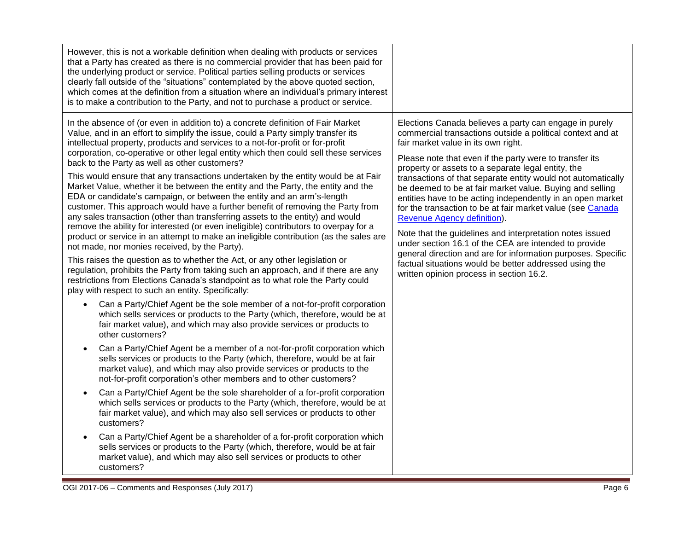| However, this is not a workable definition when dealing with products or services<br>that a Party has created as there is no commercial provider that has been paid for<br>the underlying product or service. Political parties selling products or services<br>clearly fall outside of the "situations" contemplated by the above quoted section,<br>which comes at the definition from a situation where an individual's primary interest<br>is to make a contribution to the Party, and not to purchase a product or service.                                                                                                                                                                                                                                                                                                                                                                                                                                                                                                                                                                                                                                                                                                                                                                                                                                                                                                                                                                                                                  |                                                                                                                                                                                                                                                                                                                                                                                                                                                                                                                                                                                                                                                                                                                                                                                                                                                                |
|---------------------------------------------------------------------------------------------------------------------------------------------------------------------------------------------------------------------------------------------------------------------------------------------------------------------------------------------------------------------------------------------------------------------------------------------------------------------------------------------------------------------------------------------------------------------------------------------------------------------------------------------------------------------------------------------------------------------------------------------------------------------------------------------------------------------------------------------------------------------------------------------------------------------------------------------------------------------------------------------------------------------------------------------------------------------------------------------------------------------------------------------------------------------------------------------------------------------------------------------------------------------------------------------------------------------------------------------------------------------------------------------------------------------------------------------------------------------------------------------------------------------------------------------------|----------------------------------------------------------------------------------------------------------------------------------------------------------------------------------------------------------------------------------------------------------------------------------------------------------------------------------------------------------------------------------------------------------------------------------------------------------------------------------------------------------------------------------------------------------------------------------------------------------------------------------------------------------------------------------------------------------------------------------------------------------------------------------------------------------------------------------------------------------------|
| In the absence of (or even in addition to) a concrete definition of Fair Market<br>Value, and in an effort to simplify the issue, could a Party simply transfer its<br>intellectual property, products and services to a not-for-profit or for-profit<br>corporation, co-operative or other legal entity which then could sell these services<br>back to the Party as well as other customers?<br>This would ensure that any transactions undertaken by the entity would be at Fair<br>Market Value, whether it be between the entity and the Party, the entity and the<br>EDA or candidate's campaign, or between the entity and an arm's-length<br>customer. This approach would have a further benefit of removing the Party from<br>any sales transaction (other than transferring assets to the entity) and would<br>remove the ability for interested (or even ineligible) contributors to overpay for a<br>product or service in an attempt to make an ineligible contribution (as the sales are<br>not made, nor monies received, by the Party).<br>This raises the question as to whether the Act, or any other legislation or<br>regulation, prohibits the Party from taking such an approach, and if there are any<br>restrictions from Elections Canada's standpoint as to what role the Party could<br>play with respect to such an entity. Specifically:<br>Can a Party/Chief Agent be the sole member of a not-for-profit corporation<br>$\bullet$<br>which sells services or products to the Party (which, therefore, would be at | Elections Canada believes a party can engage in purely<br>commercial transactions outside a political context and at<br>fair market value in its own right.<br>Please note that even if the party were to transfer its<br>property or assets to a separate legal entity, the<br>transactions of that separate entity would not automatically<br>be deemed to be at fair market value. Buying and selling<br>entities have to be acting independently in an open market<br>for the transaction to be at fair market value (see Canada<br>Revenue Agency definition).<br>Note that the guidelines and interpretation notes issued<br>under section 16.1 of the CEA are intended to provide<br>general direction and are for information purposes. Specific<br>factual situations would be better addressed using the<br>written opinion process in section 16.2. |
| fair market value), and which may also provide services or products to<br>other customers?<br>Can a Party/Chief Agent be a member of a not-for-profit corporation which<br>$\bullet$                                                                                                                                                                                                                                                                                                                                                                                                                                                                                                                                                                                                                                                                                                                                                                                                                                                                                                                                                                                                                                                                                                                                                                                                                                                                                                                                                              |                                                                                                                                                                                                                                                                                                                                                                                                                                                                                                                                                                                                                                                                                                                                                                                                                                                                |
| sells services or products to the Party (which, therefore, would be at fair<br>market value), and which may also provide services or products to the<br>not-for-profit corporation's other members and to other customers?                                                                                                                                                                                                                                                                                                                                                                                                                                                                                                                                                                                                                                                                                                                                                                                                                                                                                                                                                                                                                                                                                                                                                                                                                                                                                                                        |                                                                                                                                                                                                                                                                                                                                                                                                                                                                                                                                                                                                                                                                                                                                                                                                                                                                |
| Can a Party/Chief Agent be the sole shareholder of a for-profit corporation<br>$\bullet$<br>which sells services or products to the Party (which, therefore, would be at<br>fair market value), and which may also sell services or products to other<br>customers?                                                                                                                                                                                                                                                                                                                                                                                                                                                                                                                                                                                                                                                                                                                                                                                                                                                                                                                                                                                                                                                                                                                                                                                                                                                                               |                                                                                                                                                                                                                                                                                                                                                                                                                                                                                                                                                                                                                                                                                                                                                                                                                                                                |
| Can a Party/Chief Agent be a shareholder of a for-profit corporation which<br>sells services or products to the Party (which, therefore, would be at fair<br>market value), and which may also sell services or products to other<br>customers?                                                                                                                                                                                                                                                                                                                                                                                                                                                                                                                                                                                                                                                                                                                                                                                                                                                                                                                                                                                                                                                                                                                                                                                                                                                                                                   |                                                                                                                                                                                                                                                                                                                                                                                                                                                                                                                                                                                                                                                                                                                                                                                                                                                                |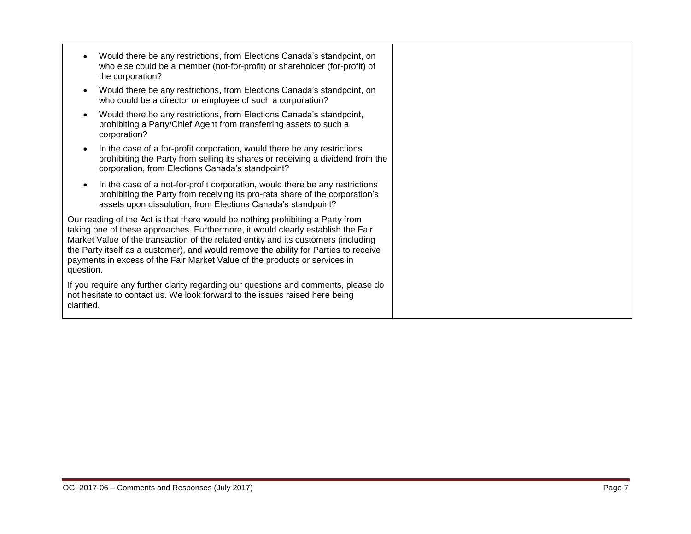|            | Would there be any restrictions, from Elections Canada's standpoint, on<br>who else could be a member (not-for-profit) or shareholder (for-profit) of<br>the corporation?                                                                                                                                                                                                                                                      |
|------------|--------------------------------------------------------------------------------------------------------------------------------------------------------------------------------------------------------------------------------------------------------------------------------------------------------------------------------------------------------------------------------------------------------------------------------|
|            | Would there be any restrictions, from Elections Canada's standpoint, on<br>who could be a director or employee of such a corporation?                                                                                                                                                                                                                                                                                          |
|            | Would there be any restrictions, from Elections Canada's standpoint,<br>prohibiting a Party/Chief Agent from transferring assets to such a<br>corporation?                                                                                                                                                                                                                                                                     |
|            | In the case of a for-profit corporation, would there be any restrictions<br>prohibiting the Party from selling its shares or receiving a dividend from the<br>corporation, from Elections Canada's standpoint?                                                                                                                                                                                                                 |
|            | In the case of a not-for-profit corporation, would there be any restrictions<br>prohibiting the Party from receiving its pro-rata share of the corporation's<br>assets upon dissolution, from Elections Canada's standpoint?                                                                                                                                                                                                   |
| question.  | Our reading of the Act is that there would be nothing prohibiting a Party from<br>taking one of these approaches. Furthermore, it would clearly establish the Fair<br>Market Value of the transaction of the related entity and its customers (including<br>the Party itself as a customer), and would remove the ability for Parties to receive<br>payments in excess of the Fair Market Value of the products or services in |
| clarified. | If you require any further clarity regarding our questions and comments, please do<br>not hesitate to contact us. We look forward to the issues raised here being                                                                                                                                                                                                                                                              |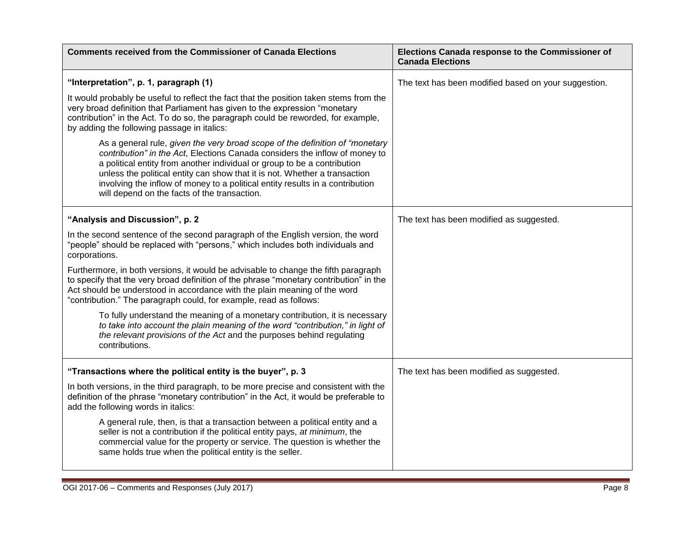| <b>Comments received from the Commissioner of Canada Elections</b>                                                                                                                                                                                                                                                                                                                                                                                     | Elections Canada response to the Commissioner of<br><b>Canada Elections</b> |
|--------------------------------------------------------------------------------------------------------------------------------------------------------------------------------------------------------------------------------------------------------------------------------------------------------------------------------------------------------------------------------------------------------------------------------------------------------|-----------------------------------------------------------------------------|
| "Interpretation", p. 1, paragraph (1)                                                                                                                                                                                                                                                                                                                                                                                                                  | The text has been modified based on your suggestion.                        |
| It would probably be useful to reflect the fact that the position taken stems from the<br>very broad definition that Parliament has given to the expression "monetary<br>contribution" in the Act. To do so, the paragraph could be reworded, for example,<br>by adding the following passage in italics:                                                                                                                                              |                                                                             |
| As a general rule, given the very broad scope of the definition of "monetary<br>contribution" in the Act, Elections Canada considers the inflow of money to<br>a political entity from another individual or group to be a contribution<br>unless the political entity can show that it is not. Whether a transaction<br>involving the inflow of money to a political entity results in a contribution<br>will depend on the facts of the transaction. |                                                                             |
| "Analysis and Discussion", p. 2                                                                                                                                                                                                                                                                                                                                                                                                                        | The text has been modified as suggested.                                    |
| In the second sentence of the second paragraph of the English version, the word<br>"people" should be replaced with "persons," which includes both individuals and<br>corporations.                                                                                                                                                                                                                                                                    |                                                                             |
| Furthermore, in both versions, it would be advisable to change the fifth paragraph<br>to specify that the very broad definition of the phrase "monetary contribution" in the<br>Act should be understood in accordance with the plain meaning of the word<br>"contribution." The paragraph could, for example, read as follows:                                                                                                                        |                                                                             |
| To fully understand the meaning of a monetary contribution, it is necessary<br>to take into account the plain meaning of the word "contribution," in light of<br>the relevant provisions of the Act and the purposes behind regulating<br>contributions.                                                                                                                                                                                               |                                                                             |
| "Transactions where the political entity is the buyer", p. 3                                                                                                                                                                                                                                                                                                                                                                                           | The text has been modified as suggested.                                    |
| In both versions, in the third paragraph, to be more precise and consistent with the<br>definition of the phrase "monetary contribution" in the Act, it would be preferable to<br>add the following words in italics:                                                                                                                                                                                                                                  |                                                                             |
| A general rule, then, is that a transaction between a political entity and a<br>seller is not a contribution if the political entity pays, at minimum, the<br>commercial value for the property or service. The question is whether the<br>same holds true when the political entity is the seller.                                                                                                                                                    |                                                                             |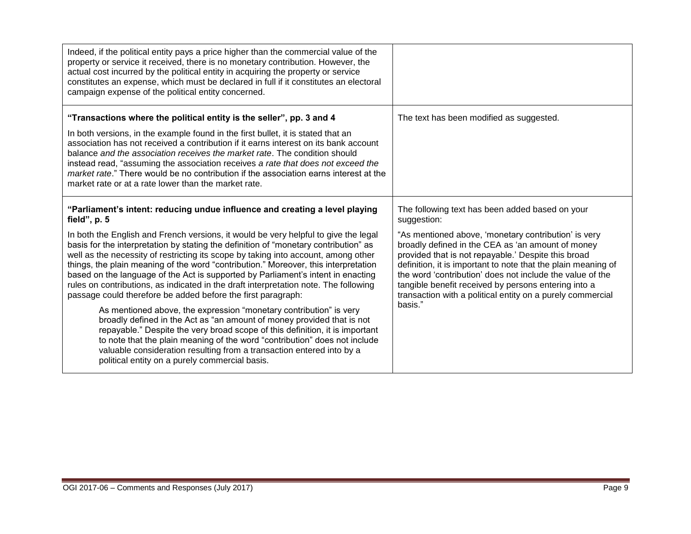| Indeed, if the political entity pays a price higher than the commercial value of the<br>property or service it received, there is no monetary contribution. However, the<br>actual cost incurred by the political entity in acquiring the property or service<br>constitutes an expense, which must be declared in full if it constitutes an electoral<br>campaign expense of the political entity concerned.                                                                                                                                                                                                                                                                                                                                                             |                                                                                                                                                                                                                                                                                                                                                                                                                                                                                                   |
|---------------------------------------------------------------------------------------------------------------------------------------------------------------------------------------------------------------------------------------------------------------------------------------------------------------------------------------------------------------------------------------------------------------------------------------------------------------------------------------------------------------------------------------------------------------------------------------------------------------------------------------------------------------------------------------------------------------------------------------------------------------------------|---------------------------------------------------------------------------------------------------------------------------------------------------------------------------------------------------------------------------------------------------------------------------------------------------------------------------------------------------------------------------------------------------------------------------------------------------------------------------------------------------|
| "Transactions where the political entity is the seller", pp. 3 and 4<br>In both versions, in the example found in the first bullet, it is stated that an<br>association has not received a contribution if it earns interest on its bank account<br>balance and the association receives the market rate. The condition should<br>instead read, "assuming the association receives a rate that does not exceed the<br><i>market rate.</i> " There would be no contribution if the association earns interest at the<br>market rate or at a rate lower than the market rate.                                                                                                                                                                                               | The text has been modified as suggested.                                                                                                                                                                                                                                                                                                                                                                                                                                                          |
| "Parliament's intent: reducing undue influence and creating a level playing<br>field", p. 5<br>In both the English and French versions, it would be very helpful to give the legal<br>basis for the interpretation by stating the definition of "monetary contribution" as<br>well as the necessity of restricting its scope by taking into account, among other<br>things, the plain meaning of the word "contribution." Moreover, this interpretation<br>based on the language of the Act is supported by Parliament's intent in enacting<br>rules on contributions, as indicated in the draft interpretation note. The following<br>passage could therefore be added before the first paragraph:<br>As mentioned above, the expression "monetary contribution" is very | The following text has been added based on your<br>suggestion:<br>"As mentioned above, 'monetary contribution' is very<br>broadly defined in the CEA as 'an amount of money<br>provided that is not repayable.' Despite this broad<br>definition, it is important to note that the plain meaning of<br>the word 'contribution' does not include the value of the<br>tangible benefit received by persons entering into a<br>transaction with a political entity on a purely commercial<br>basis." |
| broadly defined in the Act as "an amount of money provided that is not<br>repayable." Despite the very broad scope of this definition, it is important<br>to note that the plain meaning of the word "contribution" does not include<br>valuable consideration resulting from a transaction entered into by a<br>political entity on a purely commercial basis.                                                                                                                                                                                                                                                                                                                                                                                                           |                                                                                                                                                                                                                                                                                                                                                                                                                                                                                                   |